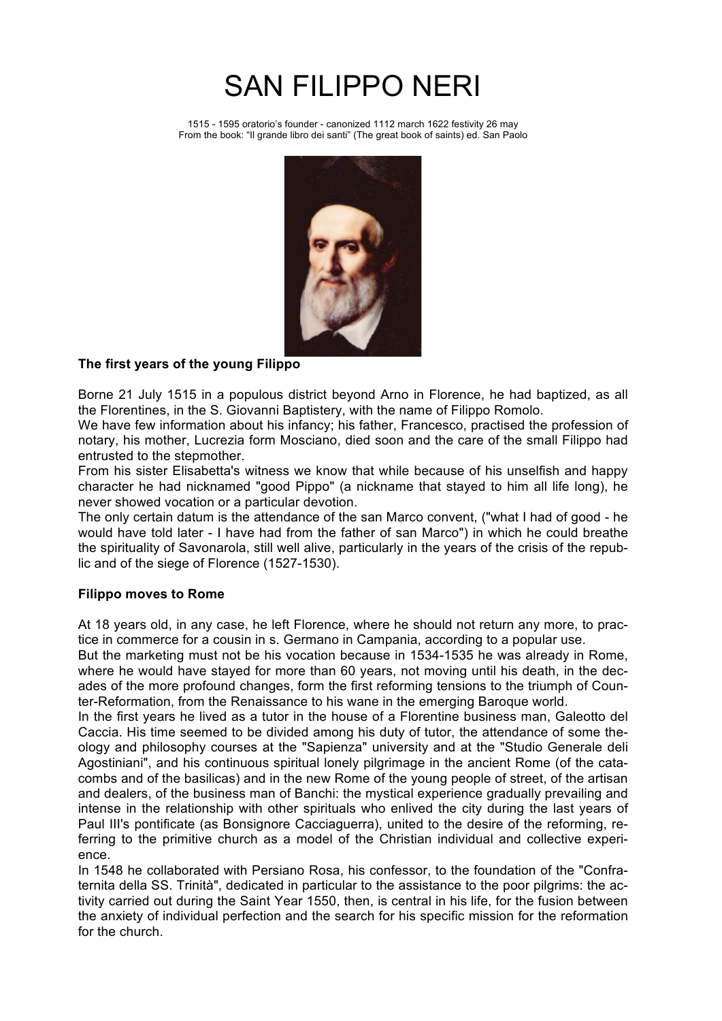# SAN FILIPPO NERI

1515 - 1595 oratorio's founder - canonized 1112 march 1622 festivity 26 may From the book: "Il grande libro dei santi" (The great book of saints) ed. San Paolo



## **The first years of the young Filippo**

Borne 21 July 1515 in a populous district beyond Arno in Florence, he had baptized, as all the Florentines, in the S. Giovanni Baptistery, with the name of Filippo Romolo.

We have few information about his infancy; his father, Francesco, practised the profession of notary, his mother, Lucrezia form Mosciano, died soon and the care of the small Filippo had entrusted to the stepmother.

From his sister Elisabetta's witness we know that while because of his unselfish and happy character he had nicknamed "good Pippo" (a nickname that stayed to him all life long), he never showed vocation or a particular devotion.

The only certain datum is the attendance of the san Marco convent, ("what I had of good - he would have told later - I have had from the father of san Marco") in which he could breathe the spirituality of Savonarola, still well alive, particularly in the years of the crisis of the republic and of the siege of Florence (1527-1530).

### **Filippo moves to Rome**

At 18 years old, in any case, he left Florence, where he should not return any more, to practice in commerce for a cousin in s. Germano in Campania, according to a popular use.

But the marketing must not be his vocation because in 1534-1535 he was already in Rome, where he would have stayed for more than 60 years, not moving until his death, in the decades of the more profound changes, form the first reforming tensions to the triumph of Counter-Reformation, from the Renaissance to his wane in the emerging Baroque world.

In the first years he lived as a tutor in the house of a Florentine business man, Galeotto del Caccia. His time seemed to be divided among his duty of tutor, the attendance of some theology and philosophy courses at the "Sapienza" university and at the "Studio Generale deli Agostiniani", and his continuous spiritual lonely pilgrimage in the ancient Rome (of the catacombs and of the basilicas) and in the new Rome of the young people of street, of the artisan and dealers, of the business man of Banchi: the mystical experience gradually prevailing and intense in the relationship with other spirituals who enlived the city during the last years of Paul III's pontificate (as Bonsignore Cacciaguerra), united to the desire of the reforming, referring to the primitive church as a model of the Christian individual and collective experience.

In 1548 he collaborated with Persiano Rosa, his confessor, to the foundation of the "Confraternita della SS. Trinità", dedicated in particular to the assistance to the poor pilgrims: the activity carried out during the Saint Year 1550, then, is central in his life, for the fusion between the anxiety of individual perfection and the search for his specific mission for the reformation for the church.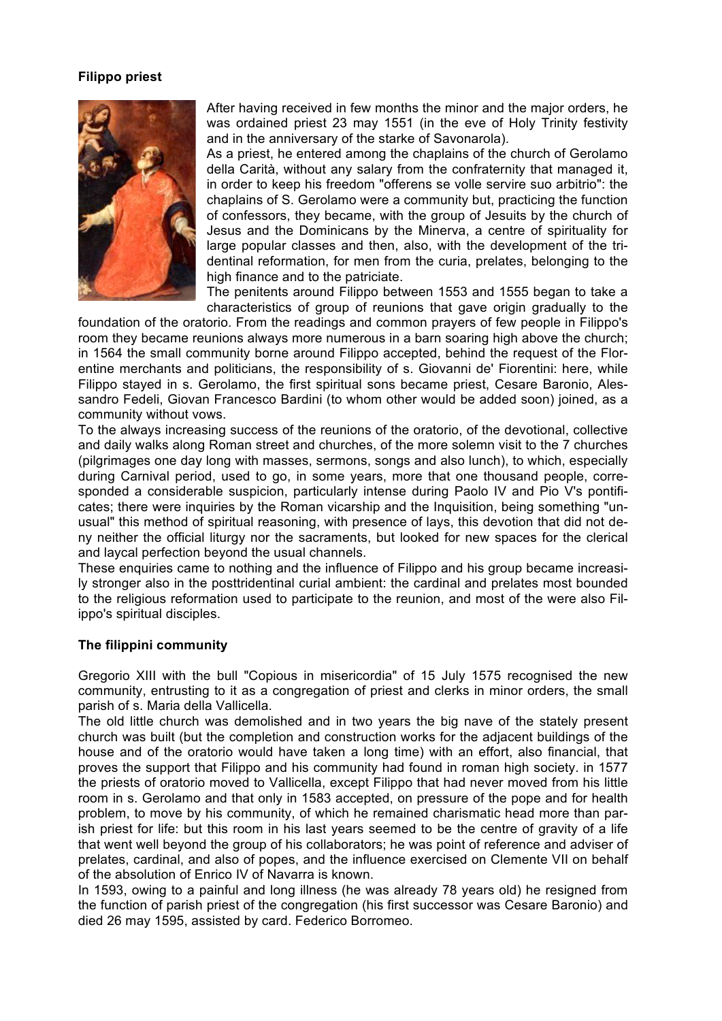#### **Filippo priest**



After having received in few months the minor and the major orders, he was ordained priest 23 may 1551 (in the eve of Holy Trinity festivity and in the anniversary of the starke of Savonarola).

As a priest, he entered among the chaplains of the church of Gerolamo della Carità, without any salary from the confraternity that managed it, in order to keep his freedom "offerens se volle servire suo arbitrio": the chaplains of S. Gerolamo were a community but, practicing the function of confessors, they became, with the group of Jesuits by the church of Jesus and the Dominicans by the Minerva, a centre of spirituality for large popular classes and then, also, with the development of the tridentinal reformation, for men from the curia, prelates, belonging to the high finance and to the patriciate.

The penitents around Filippo between 1553 and 1555 began to take a characteristics of group of reunions that gave origin gradually to the

foundation of the oratorio. From the readings and common prayers of few people in Filippo's room they became reunions always more numerous in a barn soaring high above the church; in 1564 the small community borne around Filippo accepted, behind the request of the Florentine merchants and politicians, the responsibility of s. Giovanni de' Fiorentini: here, while Filippo stayed in s. Gerolamo, the first spiritual sons became priest, Cesare Baronio, Alessandro Fedeli, Giovan Francesco Bardini (to whom other would be added soon) joined, as a community without vows.

To the always increasing success of the reunions of the oratorio, of the devotional, collective and daily walks along Roman street and churches, of the more solemn visit to the 7 churches (pilgrimages one day long with masses, sermons, songs and also lunch), to which, especially during Carnival period, used to go, in some years, more that one thousand people, corresponded a considerable suspicion, particularly intense during Paolo IV and Pio V's pontificates; there were inquiries by the Roman vicarship and the Inquisition, being something "unusual" this method of spiritual reasoning, with presence of lays, this devotion that did not deny neither the official liturgy nor the sacraments, but looked for new spaces for the clerical and laycal perfection beyond the usual channels.

These enquiries came to nothing and the influence of Filippo and his group became increasily stronger also in the posttridentinal curial ambient: the cardinal and prelates most bounded to the religious reformation used to participate to the reunion, and most of the were also Filippo's spiritual disciples.

#### **The filippini community**

Gregorio XIII with the bull "Copious in misericordia" of 15 July 1575 recognised the new community, entrusting to it as a congregation of priest and clerks in minor orders, the small parish of s. Maria della Vallicella.

The old little church was demolished and in two years the big nave of the stately present church was built (but the completion and construction works for the adjacent buildings of the house and of the oratorio would have taken a long time) with an effort, also financial, that proves the support that Filippo and his community had found in roman high society. in 1577 the priests of oratorio moved to Vallicella, except Filippo that had never moved from his little room in s. Gerolamo and that only in 1583 accepted, on pressure of the pope and for health problem, to move by his community, of which he remained charismatic head more than parish priest for life: but this room in his last years seemed to be the centre of gravity of a life that went well beyond the group of his collaborators; he was point of reference and adviser of prelates, cardinal, and also of popes, and the influence exercised on Clemente VII on behalf of the absolution of Enrico IV of Navarra is known.

In 1593, owing to a painful and long illness (he was already 78 years old) he resigned from the function of parish priest of the congregation (his first successor was Cesare Baronio) and died 26 may 1595, assisted by card. Federico Borromeo.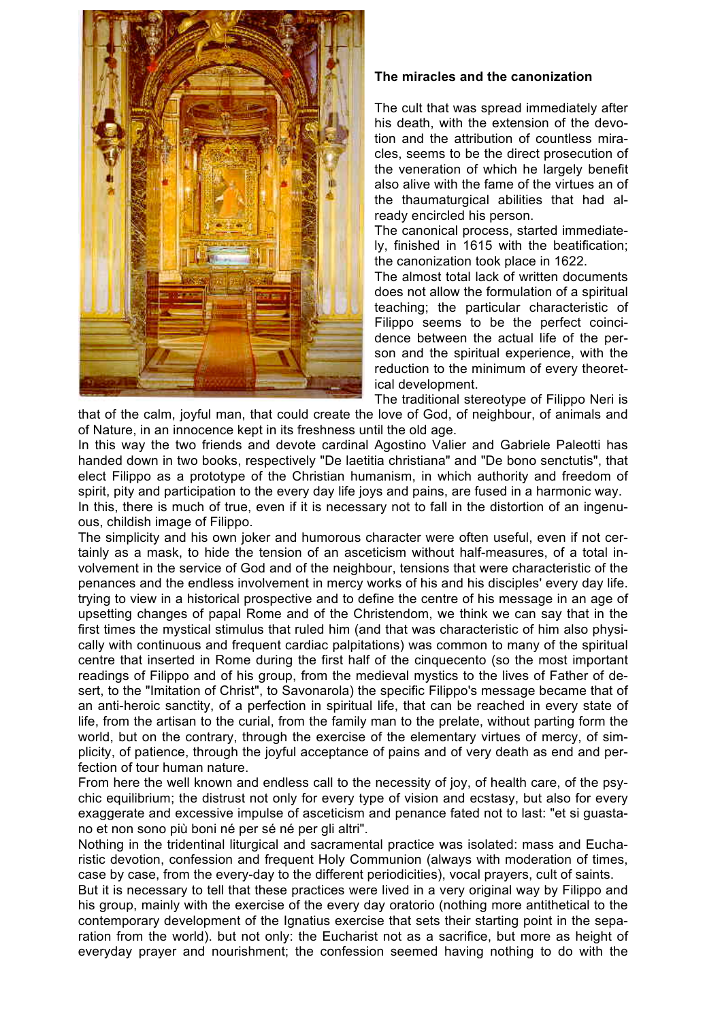

### **The miracles and the canonization**

The cult that was spread immediately after his death, with the extension of the devotion and the attribution of countless miracles, seems to be the direct prosecution of the veneration of which he largely benefit also alive with the fame of the virtues an of the thaumaturgical abilities that had already encircled his person.

The canonical process, started immediately, finished in 1615 with the beatification; the canonization took place in 1622.

The almost total lack of written documents does not allow the formulation of a spiritual teaching; the particular characteristic of Filippo seems to be the perfect coincidence between the actual life of the person and the spiritual experience, with the reduction to the minimum of every theoretical development.

The traditional stereotype of Filippo Neri is that of the calm, joyful man, that could create the love of God, of neighbour, of animals and of Nature, in an innocence kept in its freshness until the old age.

In this way the two friends and devote cardinal Agostino Valier and Gabriele Paleotti has handed down in two books, respectively "De laetitia christiana" and "De bono senctutis", that elect Filippo as a prototype of the Christian humanism, in which authority and freedom of spirit, pity and participation to the every day life joys and pains, are fused in a harmonic way. In this, there is much of true, even if it is necessary not to fall in the distortion of an ingenuous, childish image of Filippo.

The simplicity and his own joker and humorous character were often useful, even if not certainly as a mask, to hide the tension of an asceticism without half-measures, of a total involvement in the service of God and of the neighbour, tensions that were characteristic of the penances and the endless involvement in mercy works of his and his disciples' every day life. trying to view in a historical prospective and to define the centre of his message in an age of upsetting changes of papal Rome and of the Christendom, we think we can say that in the first times the mystical stimulus that ruled him (and that was characteristic of him also physically with continuous and frequent cardiac palpitations) was common to many of the spiritual centre that inserted in Rome during the first half of the cinquecento (so the most important readings of Filippo and of his group, from the medieval mystics to the lives of Father of desert, to the "Imitation of Christ", to Savonarola) the specific Filippo's message became that of an anti-heroic sanctity, of a perfection in spiritual life, that can be reached in every state of life, from the artisan to the curial, from the family man to the prelate, without parting form the world, but on the contrary, through the exercise of the elementary virtues of mercy, of simplicity, of patience, through the joyful acceptance of pains and of very death as end and perfection of tour human nature.

From here the well known and endless call to the necessity of joy, of health care, of the psychic equilibrium; the distrust not only for every type of vision and ecstasy, but also for every exaggerate and excessive impulse of asceticism and penance fated not to last: "et si guastano et non sono più boni né per sé né per gli altri".

Nothing in the tridentinal liturgical and sacramental practice was isolated: mass and Eucharistic devotion, confession and frequent Holy Communion (always with moderation of times, case by case, from the every-day to the different periodicities), vocal prayers, cult of saints.

But it is necessary to tell that these practices were lived in a very original way by Filippo and his group, mainly with the exercise of the every day oratorio (nothing more antithetical to the contemporary development of the Ignatius exercise that sets their starting point in the separation from the world). but not only: the Eucharist not as a sacrifice, but more as height of everyday prayer and nourishment; the confession seemed having nothing to do with the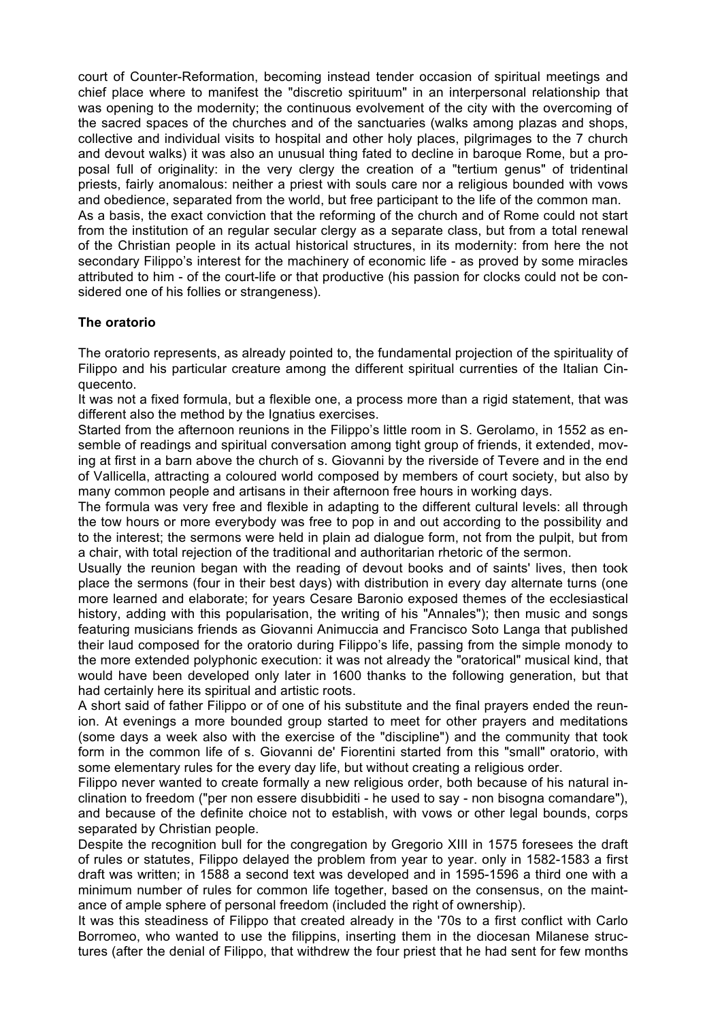court of Counter-Reformation, becoming instead tender occasion of spiritual meetings and chief place where to manifest the "discretio spirituum" in an interpersonal relationship that was opening to the modernity; the continuous evolvement of the city with the overcoming of the sacred spaces of the churches and of the sanctuaries (walks among plazas and shops, collective and individual visits to hospital and other holy places, pilgrimages to the 7 church and devout walks) it was also an unusual thing fated to decline in baroque Rome, but a proposal full of originality: in the very clergy the creation of a "tertium genus" of tridentinal priests, fairly anomalous: neither a priest with souls care nor a religious bounded with vows and obedience, separated from the world, but free participant to the life of the common man. As a basis, the exact conviction that the reforming of the church and of Rome could not start from the institution of an regular secular clergy as a separate class, but from a total renewal of the Christian people in its actual historical structures, in its modernity: from here the not secondary Filippo's interest for the machinery of economic life - as proved by some miracles attributed to him - of the court-life or that productive (his passion for clocks could not be considered one of his follies or strangeness).

### **The oratorio**

The oratorio represents, as already pointed to, the fundamental projection of the spirituality of Filippo and his particular creature among the different spiritual currenties of the Italian Cinquecento.

It was not a fixed formula, but a flexible one, a process more than a rigid statement, that was different also the method by the Ignatius exercises.

Started from the afternoon reunions in the Filippo's little room in S. Gerolamo, in 1552 as ensemble of readings and spiritual conversation among tight group of friends, it extended, moving at first in a barn above the church of s. Giovanni by the riverside of Tevere and in the end of Vallicella, attracting a coloured world composed by members of court society, but also by many common people and artisans in their afternoon free hours in working days.

The formula was very free and flexible in adapting to the different cultural levels: all through the tow hours or more everybody was free to pop in and out according to the possibility and to the interest; the sermons were held in plain ad dialogue form, not from the pulpit, but from a chair, with total rejection of the traditional and authoritarian rhetoric of the sermon.

Usually the reunion began with the reading of devout books and of saints' lives, then took place the sermons (four in their best days) with distribution in every day alternate turns (one more learned and elaborate; for years Cesare Baronio exposed themes of the ecclesiastical history, adding with this popularisation, the writing of his "Annales"); then music and songs featuring musicians friends as Giovanni Animuccia and Francisco Soto Langa that published their laud composed for the oratorio during Filippo's life, passing from the simple monody to the more extended polyphonic execution: it was not already the "oratorical" musical kind, that would have been developed only later in 1600 thanks to the following generation, but that had certainly here its spiritual and artistic roots.

A short said of father Filippo or of one of his substitute and the final prayers ended the reunion. At evenings a more bounded group started to meet for other prayers and meditations (some days a week also with the exercise of the "discipline") and the community that took form in the common life of s. Giovanni de' Fiorentini started from this "small" oratorio, with some elementary rules for the every day life, but without creating a religious order.

Filippo never wanted to create formally a new religious order, both because of his natural inclination to freedom ("per non essere disubbiditi - he used to say - non bisogna comandare"), and because of the definite choice not to establish, with vows or other legal bounds, corps separated by Christian people.

Despite the recognition bull for the congregation by Gregorio XIII in 1575 foresees the draft of rules or statutes, Filippo delayed the problem from year to year. only in 1582-1583 a first draft was written; in 1588 a second text was developed and in 1595-1596 a third one with a minimum number of rules for common life together, based on the consensus, on the maintance of ample sphere of personal freedom (included the right of ownership).

It was this steadiness of Filippo that created already in the '70s to a first conflict with Carlo Borromeo, who wanted to use the filippins, inserting them in the diocesan Milanese structures (after the denial of Filippo, that withdrew the four priest that he had sent for few months